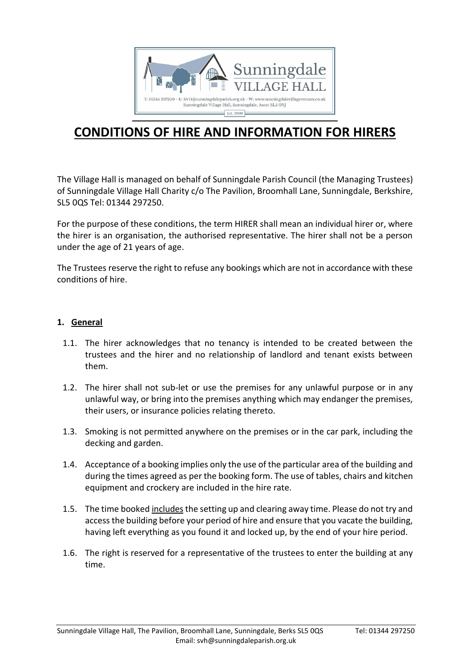

# **CONDITIONS OF HIRE AND INFORMATION FOR HIRERS**

The Village Hall is managed on behalf of Sunningdale Parish Council (the Managing Trustees) of Sunningdale Village Hall Charity c/o The Pavilion, Broomhall Lane, Sunningdale, Berkshire, SL5 0QS Tel: 01344 297250.

For the purpose of these conditions, the term HIRER shall mean an individual hirer or, where the hirer is an organisation, the authorised representative. The hirer shall not be a person under the age of 21 years of age.

The Trustees reserve the right to refuse any bookings which are not in accordance with these conditions of hire.

#### **1. General**

- 1.1. The hirer acknowledges that no tenancy is intended to be created between the trustees and the hirer and no relationship of landlord and tenant exists between them.
- 1.2. The hirer shall not sub-let or use the premises for any unlawful purpose or in any unlawful way, or bring into the premises anything which may endanger the premises, their users, or insurance policies relating thereto.
- 1.3. Smoking is not permitted anywhere on the premises or in the car park, including the decking and garden.
- 1.4. Acceptance of a booking implies only the use of the particular area of the building and during the times agreed as per the booking form. The use of tables, chairs and kitchen equipment and crockery are included in the hire rate.
- 1.5. The time booked includes the setting up and clearing away time. Please do not try and access the building before your period of hire and ensure that you vacate the building, having left everything as you found it and locked up, by the end of your hire period.
- 1.6. The right is reserved for a representative of the trustees to enter the building at any time.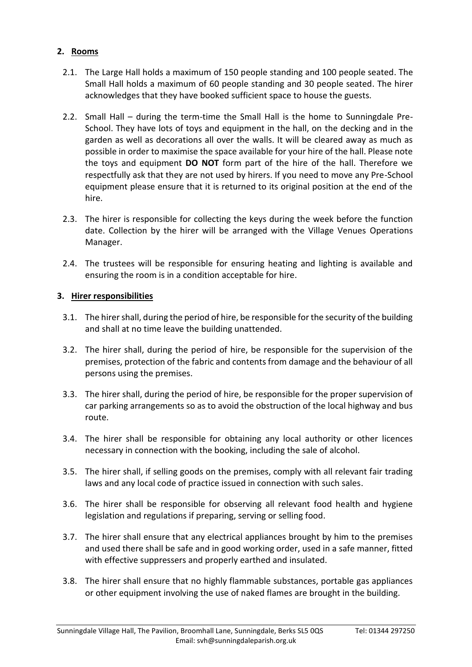# **2. Rooms**

- 2.1. The Large Hall holds a maximum of 150 people standing and 100 people seated. The Small Hall holds a maximum of 60 people standing and 30 people seated. The hirer acknowledges that they have booked sufficient space to house the guests.
- 2.2. Small Hall during the term-time the Small Hall is the home to Sunningdale Pre-School. They have lots of toys and equipment in the hall, on the decking and in the garden as well as decorations all over the walls. It will be cleared away as much as possible in order to maximise the space available for your hire of the hall. Please note the toys and equipment **DO NOT** form part of the hire of the hall. Therefore we respectfully ask that they are not used by hirers. If you need to move any Pre-School equipment please ensure that it is returned to its original position at the end of the hire.
- 2.3. The hirer is responsible for collecting the keys during the week before the function date. Collection by the hirer will be arranged with the Village Venues Operations Manager.
- 2.4. The trustees will be responsible for ensuring heating and lighting is available and ensuring the room is in a condition acceptable for hire.

# **3. Hirer responsibilities**

- 3.1. The hirer shall, during the period of hire, be responsible for the security of the building and shall at no time leave the building unattended.
- 3.2. The hirer shall, during the period of hire, be responsible for the supervision of the premises, protection of the fabric and contents from damage and the behaviour of all persons using the premises.
- 3.3. The hirer shall, during the period of hire, be responsible for the proper supervision of car parking arrangements so as to avoid the obstruction of the local highway and bus route.
- 3.4. The hirer shall be responsible for obtaining any local authority or other licences necessary in connection with the booking, including the sale of alcohol.
- 3.5. The hirer shall, if selling goods on the premises, comply with all relevant fair trading laws and any local code of practice issued in connection with such sales.
- 3.6. The hirer shall be responsible for observing all relevant food health and hygiene legislation and regulations if preparing, serving or selling food.
- 3.7. The hirer shall ensure that any electrical appliances brought by him to the premises and used there shall be safe and in good working order, used in a safe manner, fitted with effective suppressers and properly earthed and insulated.
- 3.8. The hirer shall ensure that no highly flammable substances, portable gas appliances or other equipment involving the use of naked flames are brought in the building.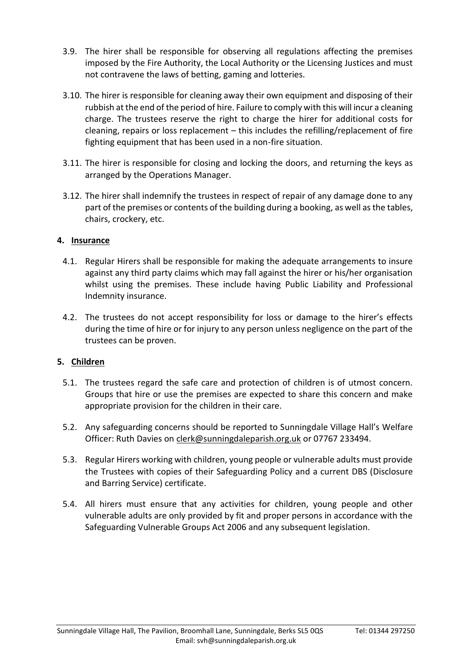- 3.9. The hirer shall be responsible for observing all regulations affecting the premises imposed by the Fire Authority, the Local Authority or the Licensing Justices and must not contravene the laws of betting, gaming and lotteries.
- 3.10. The hirer is responsible for cleaning away their own equipment and disposing of their rubbish at the end of the period of hire. Failure to comply with this will incur a cleaning charge. The trustees reserve the right to charge the hirer for additional costs for cleaning, repairs or loss replacement – this includes the refilling/replacement of fire fighting equipment that has been used in a non-fire situation.
- 3.11. The hirer is responsible for closing and locking the doors, and returning the keys as arranged by the Operations Manager.
- 3.12. The hirer shall indemnify the trustees in respect of repair of any damage done to any part of the premises or contents of the building during a booking, as well as the tables, chairs, crockery, etc.

# **4. Insurance**

- 4.1. Regular Hirers shall be responsible for making the adequate arrangements to insure against any third party claims which may fall against the hirer or his/her organisation whilst using the premises. These include having Public Liability and Professional Indemnity insurance.
- 4.2. The trustees do not accept responsibility for loss or damage to the hirer's effects during the time of hire or for injury to any person unless negligence on the part of the trustees can be proven.

# **5. Children**

- 5.1. The trustees regard the safe care and protection of children is of utmost concern. Groups that hire or use the premises are expected to share this concern and make appropriate provision for the children in their care.
- 5.2. Any safeguarding concerns should be reported to Sunningdale Village Hall's Welfare Officer: Ruth Davies on [clerk@sunningdaleparish.org.uk](mailto:clerk@sunningdaleparish.org.uk) or 07767 233494.
- 5.3. Regular Hirers working with children, young people or vulnerable adults must provide the Trustees with copies of their Safeguarding Policy and a current DBS (Disclosure and Barring Service) certificate.
- 5.4. All hirers must ensure that any activities for children, young people and other vulnerable adults are only provided by fit and proper persons in accordance with the Safeguarding Vulnerable Groups Act 2006 and any subsequent legislation.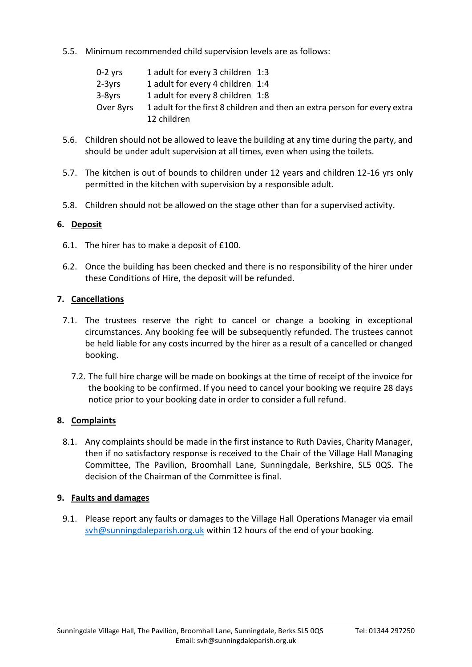5.5. Minimum recommended child supervision levels are as follows:

| $0-2$ yrs | 1 adult for every 3 children 1:3                                          |
|-----------|---------------------------------------------------------------------------|
| $2-3yrs$  | 1 adult for every 4 children 1:4                                          |
| $3-8yrs$  | 1 adult for every 8 children 1:8                                          |
| Over 8yrs | 1 adult for the first 8 children and then an extra person for every extra |
|           | 12 children                                                               |

- 5.6. Children should not be allowed to leave the building at any time during the party, and should be under adult supervision at all times, even when using the toilets.
- 5.7. The kitchen is out of bounds to children under 12 years and children 12-16 yrs only permitted in the kitchen with supervision by a responsible adult.
- 5.8. Children should not be allowed on the stage other than for a supervised activity.

# **6. Deposit**

- 6.1. The hirer has to make a deposit of £100.
- 6.2. Once the building has been checked and there is no responsibility of the hirer under these Conditions of Hire, the deposit will be refunded.

# **7. Cancellations**

- 7.1. The trustees reserve the right to cancel or change a booking in exceptional circumstances. Any booking fee will be subsequently refunded. The trustees cannot be held liable for any costs incurred by the hirer as a result of a cancelled or changed booking.
	- 7.2. The full hire charge will be made on bookings at the time of receipt of the invoice for the booking to be confirmed. If you need to cancel your booking we require 28 days notice prior to your booking date in order to consider a full refund.

# **8. Complaints**

8.1. Any complaints should be made in the first instance to Ruth Davies, Charity Manager, then if no satisfactory response is received to the Chair of the Village Hall Managing Committee, The Pavilion, Broomhall Lane, Sunningdale, Berkshire, SL5 0QS. The decision of the Chairman of the Committee is final.

# **9. Faults and damages**

9.1. Please report any faults or damages to the Village Hall Operations Manager via email [svh@sunningdaleparish.org.uk](mailto:svh@sunningdaleparish.org.uk) within 12 hours of the end of your booking.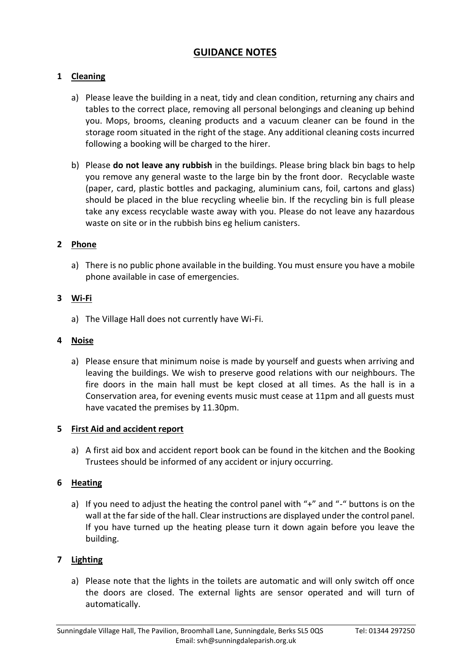# **GUIDANCE NOTES**

# **1 Cleaning**

- a) Please leave the building in a neat, tidy and clean condition, returning any chairs and tables to the correct place, removing all personal belongings and cleaning up behind you. Mops, brooms, cleaning products and a vacuum cleaner can be found in the storage room situated in the right of the stage. Any additional cleaning costs incurred following a booking will be charged to the hirer.
- b) Please **do not leave any rubbish** in the buildings. Please bring black bin bags to help you remove any general waste to the large bin by the front door. Recyclable waste (paper, card, plastic bottles and packaging, aluminium cans, foil, cartons and glass) should be placed in the blue recycling wheelie bin. If the recycling bin is full please take any excess recyclable waste away with you. Please do not leave any hazardous waste on site or in the rubbish bins eg helium canisters.

#### **2 Phone**

a) There is no public phone available in the building. You must ensure you have a mobile phone available in case of emergencies.

#### **3 Wi-Fi**

a) The Village Hall does not currently have Wi-Fi.

#### **4 Noise**

a) Please ensure that minimum noise is made by yourself and guests when arriving and leaving the buildings. We wish to preserve good relations with our neighbours. The fire doors in the main hall must be kept closed at all times. As the hall is in a Conservation area, for evening events music must cease at 11pm and all guests must have vacated the premises by 11.30pm.

#### **5 First Aid and accident report**

a) A first aid box and accident report book can be found in the kitchen and the Booking Trustees should be informed of any accident or injury occurring.

# **6 Heating**

a) If you need to adjust the heating the control panel with "+" and "-" buttons is on the wall at the far side of the hall. Clear instructions are displayed under the control panel. If you have turned up the heating please turn it down again before you leave the building.

#### **7 Lighting**

a) Please note that the lights in the toilets are automatic and will only switch off once the doors are closed. The external lights are sensor operated and will turn of automatically.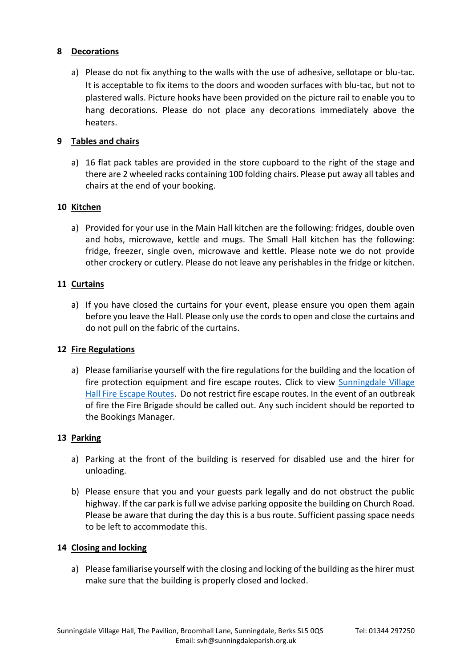# **8 Decorations**

a) Please do not fix anything to the walls with the use of adhesive, sellotape or blu-tac. It is acceptable to fix items to the doors and wooden surfaces with blu-tac, but not to plastered walls. Picture hooks have been provided on the picture rail to enable you to hang decorations. Please do not place any decorations immediately above the heaters.

# **9 Tables and chairs**

a) 16 flat pack tables are provided in the store cupboard to the right of the stage and there are 2 wheeled racks containing 100 folding chairs. Please put away all tables and chairs at the end of your booking.

# **10 Kitchen**

a) Provided for your use in the Main Hall kitchen are the following: fridges, double oven and hobs, microwave, kettle and mugs. The Small Hall kitchen has the following: fridge, freezer, single oven, microwave and kettle. Please note we do not provide other crockery or cutlery. Please do not leave any perishables in the fridge or kitchen.

# **11 Curtains**

a) If you have closed the curtains for your event, please ensure you open them again before you leave the Hall. Please only use the cords to open and close the curtains and do not pull on the fabric of the curtains.

# **12 Fire Regulations**

a) Please familiarise yourself with the fire regulations for the building and the location of fire protection equipment and fire escape routes. Click to view [Sunningdale Village](http://www.sunningdalevillagevenues.co.uk/content/pages/documents/1580984535.pdf)  [Hall Fire Escape Routes.](http://www.sunningdalevillagevenues.co.uk/content/pages/documents/1580984535.pdf) Do not restrict fire escape routes. In the event of an outbreak of fire the Fire Brigade should be called out. Any such incident should be reported to the Bookings Manager.

# **13 Parking**

- a) Parking at the front of the building is reserved for disabled use and the hirer for unloading.
- b) Please ensure that you and your guests park legally and do not obstruct the public highway. If the car park is full we advise parking opposite the building on Church Road. Please be aware that during the day this is a bus route. Sufficient passing space needs to be left to accommodate this.

# **14 Closing and locking**

a) Please familiarise yourself with the closing and locking of the building as the hirer must make sure that the building is properly closed and locked.